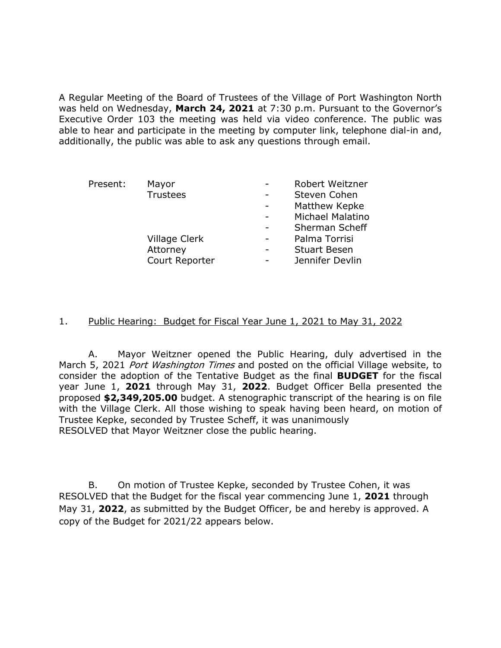A Regular Meeting of the Board of Trustees of the Village of Port Washington North was held on Wednesday, **March 24, 2021** at 7:30 p.m. Pursuant to the Governor's Executive Order 103 the meeting was held via video conference. The public was able to hear and participate in the meeting by computer link, telephone dial-in and, additionally, the public was able to ask any questions through email.

| Present: | Mayor           | Robert Weitzner     |
|----------|-----------------|---------------------|
|          | <b>Trustees</b> | Steven Cohen        |
|          |                 | Matthew Kepke       |
|          |                 | Michael Malatino    |
|          |                 | Sherman Scheff      |
|          | Village Clerk   | Palma Torrisi       |
|          | Attorney        | <b>Stuart Besen</b> |
|          | Court Reporter  | Jennifer Devlin     |

### 1. Public Hearing: Budget for Fiscal Year June 1, 2021 to May 31, 2022

A. Mayor Weitzner opened the Public Hearing, duly advertised in the March 5, 2021 Port Washington Times and posted on the official Village website, to consider the adoption of the Tentative Budget as the final **BUDGET** for the fiscal year June 1, **2021** through May 31, **2022**. Budget Officer Bella presented the proposed **\$2,349,205.00** budget. A stenographic transcript of the hearing is on file with the Village Clerk. All those wishing to speak having been heard, on motion of Trustee Kepke, seconded by Trustee Scheff, it was unanimously RESOLVED that Mayor Weitzner close the public hearing.

B. On motion of Trustee Kepke, seconded by Trustee Cohen, it was RESOLVED that the Budget for the fiscal year commencing June 1, **2021** through May 31, **2022**, as submitted by the Budget Officer, be and hereby is approved. A copy of the Budget for 2021/22 appears below.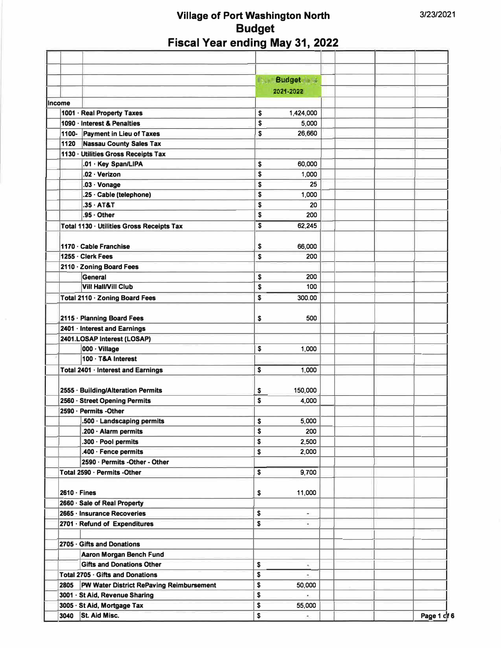|                    |                                           | المردا<br><b>Budget</b> |                       |             |
|--------------------|-------------------------------------------|-------------------------|-----------------------|-------------|
|                    |                                           | 2021-2022               |                       |             |
| Income             |                                           |                         |                       |             |
|                    | 1001 · Real Property Taxes                | \$                      | 1,424,000             |             |
|                    | 1090 · Interest & Penalties               | \$                      | 5,000                 |             |
|                    | 1100- Payment in Lieu of Taxes            | \$                      | 26,660                |             |
| 1120               | <b>Nassau County Sales Tax</b>            |                         |                       |             |
|                    | 1130 · Utilities Gross Receipts Tax       |                         |                       |             |
|                    | .01 · Key Span/LIPA                       | \$                      | 60,000                |             |
|                    | .02 · Verizon                             | \$                      | 1,000                 |             |
|                    | $.03 \cdot \text{Vonage}$                 | \$                      | 25                    |             |
|                    | .25 · Cable (telephone)                   | \$                      | 1,000                 |             |
|                    | $.35 \cdot AT&T$                          | \$                      | 20                    |             |
|                    | .95 · Other                               | \$                      | 200                   |             |
|                    | Total 1130 · Utilities Gross Receipts Tax | \$                      | 62,245                |             |
|                    |                                           |                         |                       |             |
|                    | 1170 Cable Franchise                      | \$                      | 66,000                |             |
|                    | 1255 · Clerk Fees                         | \$                      | 200                   |             |
|                    |                                           |                         |                       |             |
|                    | 2110 - Zoning Board Fees<br>General       |                         |                       |             |
|                    |                                           | \$                      | 200                   |             |
|                    | <b>Vill Hall/Vill Club</b>                | \$                      | 100                   |             |
|                    | Total 2110 · Zoning Board Fees            | \$                      | 300.00                |             |
|                    |                                           |                         |                       |             |
|                    | 2115 · Planning Board Fees                | \$                      | 500                   |             |
|                    | 2401 · Interest and Earnings              |                         |                       |             |
|                    | 2401.LOSAP Interest (LOSAP)               |                         |                       |             |
|                    | 000 · Village                             | \$                      | 1,000                 |             |
|                    | 100 · T&A Interest                        |                         |                       |             |
|                    | Total 2401 · Interest and Earnings        | \$                      | 1,000                 |             |
|                    |                                           |                         |                       |             |
|                    | 2555 · Building/Alteration Permits        | \$                      | 150,000               |             |
|                    | 2560 · Street Opening Permits             | \$                      | 4,000                 |             |
|                    | 2590 · Permits -Other                     |                         |                       |             |
|                    | .500 · Landscaping permits                | \$                      | 5,000                 |             |
|                    | .200 $\cdot$ Alarm permits                | \$                      | 200                   |             |
|                    | .300 · Pool permits                       | \$                      | 2,500                 |             |
|                    | .400 · Fence permits                      | \$                      | 2,000                 |             |
|                    | 2590 · Permits - Other - Other            |                         |                       |             |
|                    | Total 2590 · Permits -Other               | \$                      | 9,700                 |             |
|                    |                                           |                         |                       |             |
| $2610 \cdot$ Fines |                                           |                         |                       |             |
|                    |                                           | \$                      | 11,000                |             |
|                    | 2660 · Sale of Real Property              |                         |                       |             |
|                    | 2665 · Insurance Recoveries               | \$                      |                       |             |
|                    | 2701 · Refund of Expenditures             | \$                      |                       |             |
|                    |                                           |                         |                       |             |
|                    | 2705 Gifts and Donations                  |                         |                       |             |
|                    | Aaron Morgan Bench Fund                   |                         |                       |             |
|                    | <b>Gifts and Donations Other</b>          | \$                      | -                     |             |
|                    | Total 2705 · Gifts and Donations          | \$                      | $\tilde{\mathcal{C}}$ |             |
| 2805               | PW Water District RePaving Reimbursement  | \$                      | 50,000                |             |
|                    | 3001 · St Aid, Revenue Sharing            | \$                      | $\blacksquare$        |             |
|                    | 3005 · St Aid, Mortgage Tax               | \$                      | 55,000                |             |
| 3040               | St. Aid Misc.                             | \$                      | $\sim$                | Page 1 of 6 |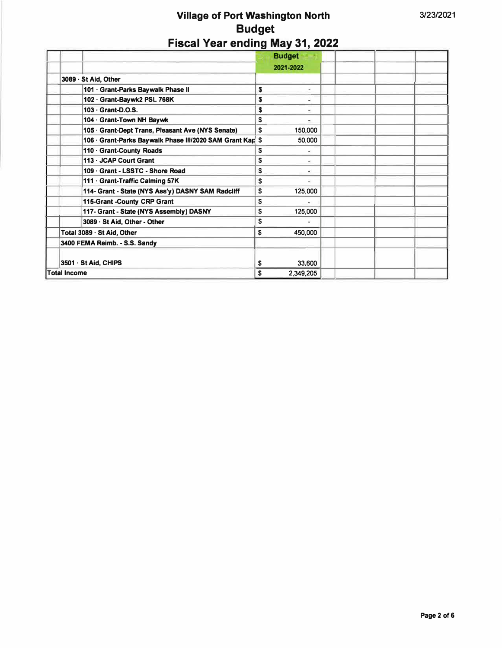|                                                           | <b>Budget</b><br>2021-2022 |  |
|-----------------------------------------------------------|----------------------------|--|
| 3089 - St Aid, Other                                      |                            |  |
| 101 · Grant-Parks Baywalk Phase II                        | \$                         |  |
| 102 · Grant-Baywk2 PSL 768K                               | S                          |  |
| 103 - Grant-D.O.S.                                        | S<br>٠                     |  |
| 104 · Grant-Town NH Baywk                                 | S                          |  |
| 105 · Grant-Dept Trans, Pleasant Ave (NYS Senate)         | S<br>150,000               |  |
| 106 · Grant-Parks Baywalk Phase III/2020 SAM Grant Kap \$ | 50,000                     |  |
| 110 Grant-County Roads                                    | S                          |  |
| 113 - JCAP Court Grant                                    | S<br>-                     |  |
| 109 Grant - LSSTC - Shore Road                            | \$                         |  |
| 111 · Grant-Traffic Calming 57K                           | S                          |  |
| 114- Grant - State (NYS Ass'y) DASNY SAM Radcliff         | \$<br>125,000              |  |
| 115-Grant -County CRP Grant                               | \$                         |  |
| 117- Grant - State (NYS Assembly) DASNY                   | \$<br>125,000              |  |
| 3089 · St Aid, Other - Other                              | S                          |  |
| Total 3089 · St Aid, Other                                | 450,000<br>\$              |  |
| 3400 FEMA Reimb. - S.S. Sandy                             |                            |  |
| 3501 · St Aid, CHIPS                                      | 33,600<br>S                |  |
| <b>Total Income</b>                                       | 2,349,205<br>\$            |  |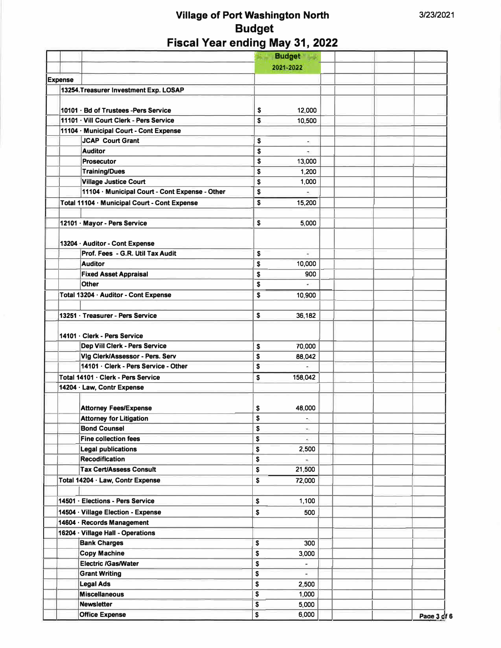|                                                | <b>Budget</b> |                          |             |
|------------------------------------------------|---------------|--------------------------|-------------|
|                                                | 2021-2022     |                          |             |
| <b>Expense</b>                                 |               |                          |             |
| 13254. Treasurer Investment Exp. LOSAP         |               |                          |             |
|                                                |               |                          |             |
| 10101 · Bd of Trustees - Pers Service          | \$            | 12,000                   |             |
| 11101 · Vill Court Clerk - Pers Service        | S.            | 10,500                   |             |
| 11104 · Municipal Court - Cont Expense         |               |                          |             |
| <b>JCAP Court Grant</b>                        | \$            | ٠                        |             |
| <b>Auditor</b>                                 | \$            |                          |             |
| <b>Prosecutor</b>                              | \$            | 13,000                   |             |
| <b>Training/Dues</b>                           | \$            | 1,200                    |             |
| <b>Village Justice Court</b>                   | \$            | 1,000                    |             |
| 11104 · Municipal Court - Cont Expense - Other | \$            |                          |             |
| Total 11104 · Municipal Court - Cont Expense   | \$            | 15,200                   |             |
|                                                |               |                          |             |
| 12101 · Mayor - Pers Service                   | \$            | 5,000                    |             |
|                                                |               |                          |             |
| 13204 · Auditor - Cont Expense                 |               |                          |             |
| Prof. Fees - G.R. Util Tax Audit               | \$            | $\overline{\phantom{a}}$ |             |
| <b>Auditor</b>                                 | \$            | 10,000                   |             |
| <b>Fixed Asset Appraisal</b>                   | \$            | 900                      |             |
| <b>Other</b>                                   | \$            |                          |             |
| Total 13204 · Auditor - Cont Expense           | \$            | 10,900                   |             |
|                                                |               |                          |             |
| 13251 · Treasurer - Pers Service               | \$            | 36,182                   |             |
|                                                |               |                          |             |
| 14101 · Clerk - Pers Service                   |               |                          |             |
| Dep Viil Clerk - Pers Service                  | \$            | 70,000                   |             |
| Vig Clerk/Assessor - Pers. Serv                | \$            | 88,042                   |             |
| 14101 · Clerk - Pers Service - Other           | \$            | ÷.                       |             |
| Total 14101 · Clerk - Pers Service             | \$            | 158,042                  |             |
| 14204 · Law, Contr Expense                     |               |                          |             |
|                                                |               |                          |             |
| <b>Attorney Fees/Expense</b>                   | \$            | 48,000                   |             |
| Attorney for Litigation                        | \$            | ۰                        |             |
| <b>Bond Counsel</b>                            | \$            | $\equiv$                 |             |
| <b>Fine collection fees</b>                    | \$            | $\sim$                   |             |
| <b>Legal publications</b>                      | \$            | 2,500                    |             |
| <b>Recodification</b>                          | \$            | ٠                        |             |
| <b>Tax Cert/Assess Consult</b>                 | \$            | 21,500                   |             |
|                                                |               |                          |             |
| Total 14204 · Law, Contr Expense               | \$            | 72,000                   |             |
| 14501 · Elections - Pers Service               |               | 1,100                    |             |
|                                                | \$            |                          |             |
| 14504 · Village Election - Expense             | \$            | 500                      |             |
| 14604 · Records Management                     |               |                          |             |
| 16204 · Village Hall - Operations              |               |                          |             |
| <b>Bank Charges</b>                            | \$            | 300                      |             |
| <b>Copy Machine</b>                            | \$            | 3,000                    |             |
| <b>Electric /Gas/Water</b>                     | \$            |                          |             |
| <b>Grant Writing</b>                           | \$            |                          |             |
| <b>Legal Ads</b>                               | \$            | 2,500                    |             |
| <b>Miscellaneous</b>                           | \$            | 1,000                    |             |
| <b>Newsletter</b>                              | \$            | 5,000                    |             |
| <b>Office Expense</b>                          | \$            | 6,000                    | Page 3 gf 6 |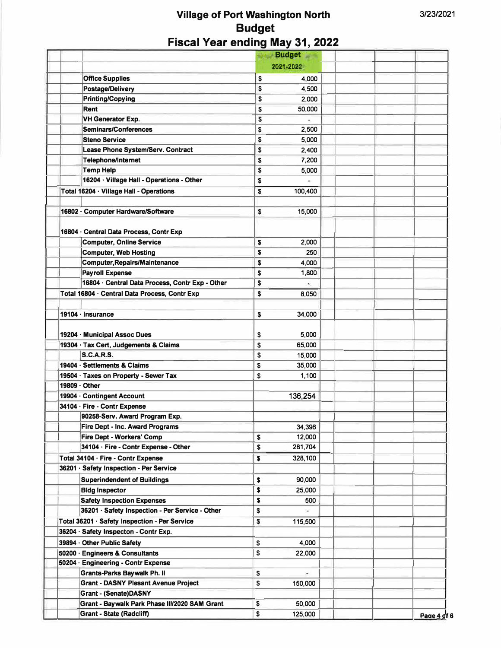|                              |                                                 | <b>Budget</b>              |  |             |
|------------------------------|-------------------------------------------------|----------------------------|--|-------------|
|                              |                                                 | 2021-2022                  |  |             |
| <b>Office Supplies</b>       |                                                 | \$<br>4,000                |  |             |
|                              | Postage/Delivery                                | \$<br>4,500                |  |             |
|                              | <b>Printing/Copying</b>                         | \$<br>2,000                |  |             |
| Rent                         |                                                 | \$<br>50,000               |  |             |
|                              | <b>VH Generator Exp.</b>                        | \$                         |  |             |
|                              | <b>Seminars/Conferences</b>                     | \$<br>2,500                |  |             |
| <b>Steno Service</b>         |                                                 | \$<br>5,000                |  |             |
|                              | Lease Phone System/Serv. Contract               | \$<br>2,400                |  |             |
|                              | <b>Telephone/Internet</b>                       | \$<br>7,200                |  |             |
| <b>Temp Help</b>             |                                                 | \$<br>5,000                |  |             |
|                              | 16204 · Village Hall - Operations - Other       | \$                         |  |             |
|                              | Total 16204 · Village Hall - Operations         | \$<br>100,400              |  |             |
|                              |                                                 |                            |  |             |
|                              | 16802 · Computer Hardware/Software              | \$<br>15,000               |  |             |
|                              |                                                 |                            |  |             |
|                              | 16804 · Central Data Process, Contr Exp         |                            |  |             |
|                              | <b>Computer, Online Service</b>                 | \$<br>2,000                |  |             |
|                              | <b>Computer, Web Hosting</b>                    | \$<br>250                  |  |             |
|                              | <b>Computer, Repairs/Maintenance</b>            | \$<br>4,000                |  |             |
| <b>Payroll Expense</b>       |                                                 | \$<br>1,800                |  |             |
|                              | 16804 · Central Data Process, Contr Exp - Other | \$<br>$\tilde{\mathbf{r}}$ |  |             |
|                              | Total 16804 · Central Data Process, Contr Exp   | \$<br>8,050                |  |             |
|                              |                                                 |                            |  |             |
| $19104 \cdot$ Insurance      |                                                 | \$<br>34,000               |  |             |
|                              |                                                 |                            |  |             |
| 19204 · Municipal Assoc Dues |                                                 |                            |  |             |
|                              |                                                 | \$<br>5,000                |  |             |
| <b>S.C.A.R.S.</b>            | 19304 · Tax Cert, Judgements & Claims           | \$<br>65,000               |  |             |
| 19404 · Settlements & Claims |                                                 | \$<br>15,000               |  |             |
|                              | 19504 · Taxes on Property - Sewer Tax           | \$<br>35,000               |  |             |
| 19809 · Other                |                                                 | \$<br>1,100                |  |             |
|                              |                                                 |                            |  |             |
| 19904 · Contingent Account   |                                                 | 136,254                    |  |             |
| 34104 · Fire - Contr Expense |                                                 |                            |  |             |
|                              | 90258-Serv. Award Program Exp.                  |                            |  |             |
|                              | Fire Dept - Inc. Award Programs                 | 34,396                     |  |             |
|                              | Fire Dept - Workers' Comp                       | \$<br>12,000               |  |             |
|                              | 34104 · Fire - Contr Expense - Other            | \$<br>281,704              |  |             |
|                              | Total 34104 · Fire - Contr Expense              | \$<br>328,100              |  |             |
|                              | 36201 · Safety Inspection - Per Service         |                            |  |             |
|                              | <b>Superindendent of Buildings</b>              | \$<br>90,000               |  |             |
| <b>Bldg Inspector</b>        |                                                 | \$<br>25,000               |  |             |
|                              | <b>Safety Inspection Expenses</b>               | \$<br>500                  |  |             |
|                              | 36201 · Safety Inspection - Per Service - Other | \$                         |  |             |
|                              | Total 36201 · Safety Inspection - Per Service   | \$<br>115,500              |  |             |
|                              | 36204 · Safety Inspecton - Contr Exp.           |                            |  |             |
| 39894 Other Public Safety    |                                                 | \$<br>4,000                |  |             |
|                              | 50200 · Engineers & Consultants                 | \$<br>22,000               |  |             |
|                              | 50204 · Engineering - Contr Expense             |                            |  |             |
|                              | <b>Grants-Parks Baywalk Ph. II</b>              | \$                         |  |             |
|                              | <b>Grant - DASNY Plesant Avenue Project</b>     | \$<br>150,000              |  |             |
|                              | <b>Grant - (Senate)DASNY</b>                    |                            |  |             |
|                              | Grant - Baywalk Park Phase III/2020 SAM Grant   | \$<br>50,000               |  |             |
|                              | <b>Grant - State (Radcliff)</b>                 | \$<br>125,000              |  | Page 4 of 6 |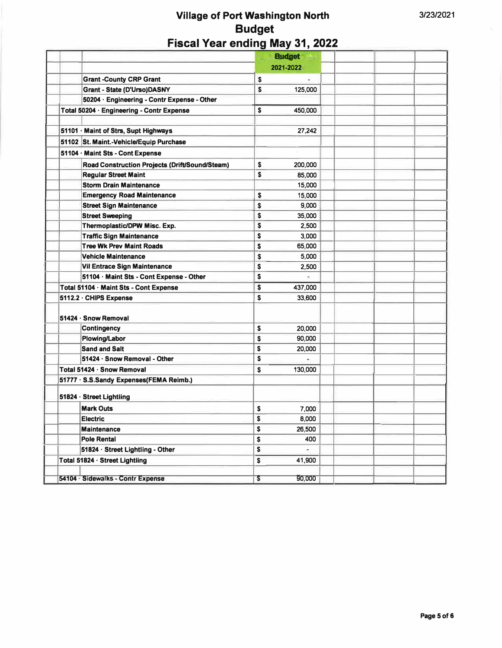|                                                | <b>Budget</b>        |     |  |
|------------------------------------------------|----------------------|-----|--|
|                                                | 2021-2022            |     |  |
| <b>Grant -County CRP Grant</b>                 | \$                   |     |  |
| Grant - State (D'Urso)DASNY                    | \$<br>125,000        |     |  |
| 50204 · Engineering - Contr Expense - Other    |                      |     |  |
| Total 50204 · Engineering - Contr Expense      | \$<br>450,000        |     |  |
|                                                |                      |     |  |
| 51101 · Maint of Strs, Supt Highways           | 27,242               |     |  |
| 51102 St. Maint.-Vehicle/Equip Purchase        |                      |     |  |
| 51104 · Maint Sts - Cont Expense               |                      |     |  |
| Road Construction Projects (Drift/Sound/Steam) | S<br>200,000         |     |  |
| <b>Regular Street Maint</b>                    | S<br>85,000          |     |  |
| <b>Storm Drain Maintenance</b>                 | 15,000               |     |  |
| <b>Emergency Road Maintenance</b>              | \$<br>15,000         |     |  |
| <b>Street Sign Maintenance</b>                 | S<br>9,000           |     |  |
| <b>Street Sweeping</b>                         | S<br>35,000          |     |  |
| Thermoplastic/DPW Misc. Exp.                   | \$<br>2,500          |     |  |
| <b>Traffic Sign Maintenance</b>                | S<br>3,000           |     |  |
| <b>Tree Wk Prev Maint Roads</b>                | \$<br>65,000         |     |  |
| <b>Vehicle Maintenance</b>                     | \$<br>5,000          |     |  |
| Vil Entrace Sign Maintenance                   | S<br>2,500           |     |  |
| 51104 · Maint Sts - Cont Expense - Other       | \$<br>$\overline{a}$ |     |  |
| Total 51104 · Maint Sts - Cont Expense         | \$<br>437,000        |     |  |
| 5112.2 · CHIPS Expense                         | S<br>33,600          |     |  |
| 51424 · Snow Removal                           |                      |     |  |
| <b>Contingency</b>                             | \$<br>20,000         |     |  |
| <b>Plowing/Labor</b>                           | S<br>90,000          |     |  |
| <b>Sand and Salt</b>                           | \$<br>20,000         |     |  |
| 51424 · Snow Removal - Other                   | S                    |     |  |
| Total 51424 · Snow Removal                     | 130,000<br>S         |     |  |
| 51777 · S.S.Sandy Expenses(FEMA Reimb.)        |                      |     |  |
| 51824 · Street Lightling                       |                      |     |  |
| <b>Mark Outs</b>                               | \$<br>7,000          |     |  |
| <b>Electric</b>                                | 8,000                |     |  |
| <b>Maintenance</b>                             | \$<br>\$<br>26,500   |     |  |
| <b>Pole Rental</b>                             | \$                   | 400 |  |
| 51824 · Street Lightling - Other               | \$                   |     |  |
| Total 51824 · Street Lightling                 | \$<br>41,900         |     |  |
|                                                |                      |     |  |
| 54104 · Sidewalks - Contr Expense              | 90,000<br>\$         |     |  |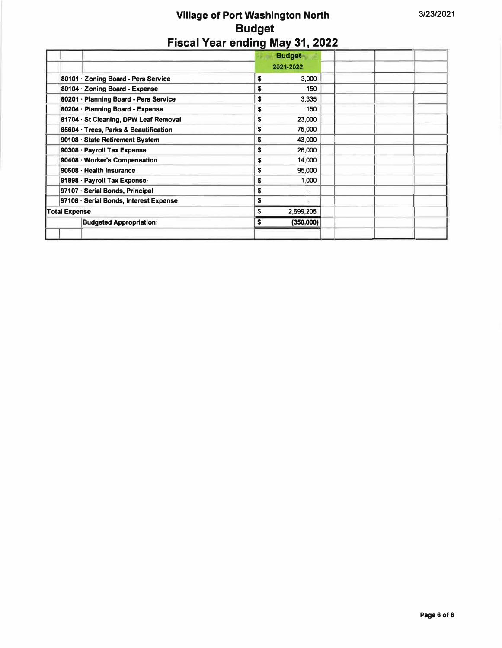|                                        | <b>Budget</b><br>2021-2022 |  |
|----------------------------------------|----------------------------|--|
| 80101 · Zoning Board - Pers Service    | 3,000<br>\$                |  |
| 80104 · Zoning Board - Expense         | \$<br>150                  |  |
| 80201 · Planning Board - Pers Service  | S<br>3,335                 |  |
| 80204 · Planning Board - Expense       | 150<br>S                   |  |
| 81704 · St Cleaning, DPW Leaf Removal  | 23,000<br>S                |  |
| 85604 · Trees, Parks & Beautification  | S<br>75,000                |  |
| 90108 · State Retirement System        | 43,000<br>S                |  |
| 90308 · Payroll Tax Expense            | S<br>26,000                |  |
| 90408 · Worker's Compensation          | 14,000<br>S                |  |
| 90608 · Health Insurance               | S<br>95,000                |  |
| 91898 · Payroll Tax Expense-           | \$<br>1,000                |  |
| 97107 · Serial Bonds, Principal        | \$                         |  |
| 97108 · Serial Bonds, Interest Expense | S                          |  |
| <b>Total Expense</b>                   | 2,699,205<br>\$            |  |
| <b>Budgeted Appropriation:</b>         | s<br>(350,000)             |  |
|                                        |                            |  |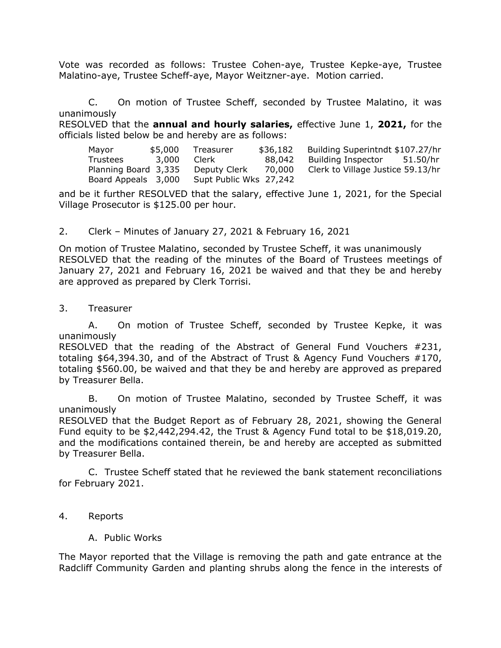Vote was recorded as follows: Trustee Cohen-aye, Trustee Kepke-aye, Trustee Malatino-aye, Trustee Scheff-aye, Mayor Weitzner-aye. Motion carried.

C. On motion of Trustee Scheff, seconded by Trustee Malatino, it was unanimously

RESOLVED that the **annual and hourly salaries,** effective June 1, **2021,** for the officials listed below be and hereby are as follows:

| Mavor                | \$5,000 | Treasurer              | \$36,182 | Building Superintndt \$107.27/hr  |          |
|----------------------|---------|------------------------|----------|-----------------------------------|----------|
| <b>Trustees</b>      | 3,000   | Clerk                  | 88,042   | <b>Building Inspector</b>         | 51.50/hr |
| Planning Board 3,335 |         | Deputy Clerk           | 70,000   | Clerk to Village Justice 59.13/hr |          |
| Board Appeals 3,000  |         | Supt Public Wks 27,242 |          |                                   |          |

and be it further RESOLVED that the salary, effective June 1, 2021, for the Special Village Prosecutor is \$125.00 per hour.

### 2. Clerk – Minutes of January 27, 2021 & February 16, 2021

On motion of Trustee Malatino, seconded by Trustee Scheff, it was unanimously RESOLVED that the reading of the minutes of the Board of Trustees meetings of January 27, 2021 and February 16, 2021 be waived and that they be and hereby are approved as prepared by Clerk Torrisi.

3. Treasurer

A. On motion of Trustee Scheff, seconded by Trustee Kepke, it was unanimously

RESOLVED that the reading of the Abstract of General Fund Vouchers #231, totaling \$64,394.30, and of the Abstract of Trust & Agency Fund Vouchers #170, totaling \$560.00, be waived and that they be and hereby are approved as prepared by Treasurer Bella.

B. On motion of Trustee Malatino, seconded by Trustee Scheff, it was unanimously

RESOLVED that the Budget Report as of February 28, 2021, showing the General Fund equity to be \$2,442,294.42, the Trust & Agency Fund total to be \$18,019.20, and the modifications contained therein, be and hereby are accepted as submitted by Treasurer Bella.

C. Trustee Scheff stated that he reviewed the bank statement reconciliations for February 2021.

- 4. Reports
	- A. Public Works

The Mayor reported that the Village is removing the path and gate entrance at the Radcliff Community Garden and planting shrubs along the fence in the interests of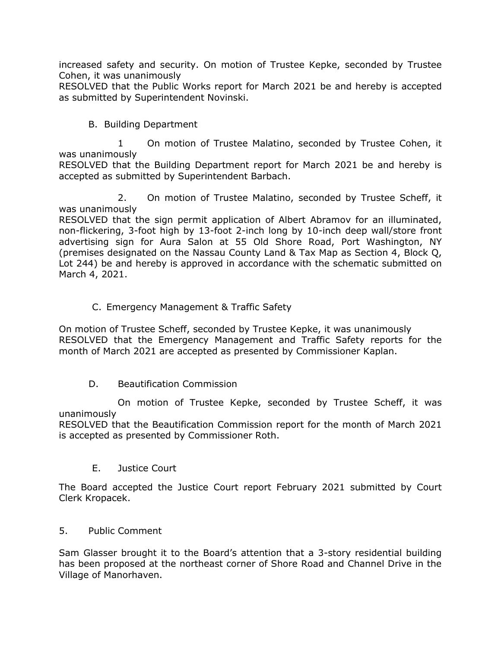increased safety and security. On motion of Trustee Kepke, seconded by Trustee Cohen, it was unanimously

RESOLVED that the Public Works report for March 2021 be and hereby is accepted as submitted by Superintendent Novinski.

B. Building Department

1 On motion of Trustee Malatino, seconded by Trustee Cohen, it was unanimously

RESOLVED that the Building Department report for March 2021 be and hereby is accepted as submitted by Superintendent Barbach.

2. On motion of Trustee Malatino, seconded by Trustee Scheff, it was unanimously

RESOLVED that the sign permit application of Albert Abramov for an illuminated, non-flickering, 3-foot high by 13-foot 2-inch long by 10-inch deep wall/store front advertising sign for Aura Salon at 55 Old Shore Road, Port Washington, NY (premises designated on the Nassau County Land & Tax Map as Section 4, Block Q, Lot 244) be and hereby is approved in accordance with the schematic submitted on March 4, 2021.

### C. Emergency Management & Traffic Safety

On motion of Trustee Scheff, seconded by Trustee Kepke, it was unanimously RESOLVED that the Emergency Management and Traffic Safety reports for the month of March 2021 are accepted as presented by Commissioner Kaplan.

### D. Beautification Commission

On motion of Trustee Kepke, seconded by Trustee Scheff, it was unanimously

RESOLVED that the Beautification Commission report for the month of March 2021 is accepted as presented by Commissioner Roth.

E. Justice Court

The Board accepted the Justice Court report February 2021 submitted by Court Clerk Kropacek.

### 5. Public Comment

Sam Glasser brought it to the Board's attention that a 3-story residential building has been proposed at the northeast corner of Shore Road and Channel Drive in the Village of Manorhaven.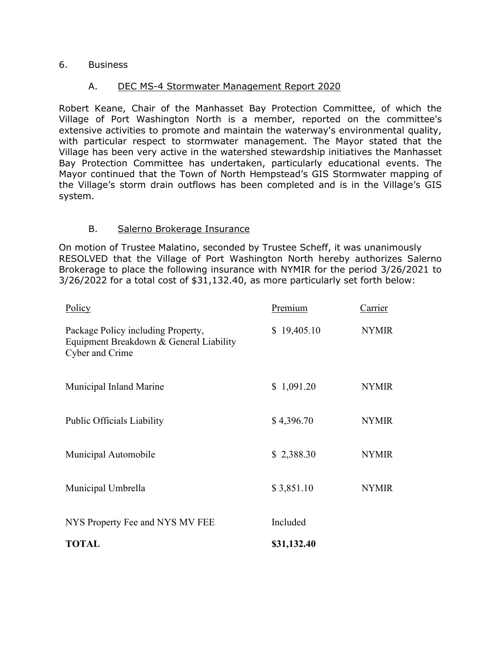#### 6. Business

#### A. DEC MS-4 Stormwater Management Report 2020

Robert Keane, Chair of the Manhasset Bay Protection Committee, of which the Village of Port Washington North is a member, reported on the committee's extensive activities to promote and maintain the waterway's environmental quality, with particular respect to stormwater management. The Mayor stated that the Village has been very active in the watershed stewardship initiatives the Manhasset Bay Protection Committee has undertaken, particularly educational events. The Mayor continued that the Town of North Hempstead's GIS Stormwater mapping of the Village's storm drain outflows has been completed and is in the Village's GIS system.

#### B. Salerno Brokerage Insurance

On motion of Trustee Malatino, seconded by Trustee Scheff, it was unanimously RESOLVED that the Village of Port Washington North hereby authorizes Salerno Brokerage to place the following insurance with NYMIR for the period 3/26/2021 to 3/26/2022 for a total cost of \$31,132.40, as more particularly set forth below:

| <b>TOTAL</b>                                                                                     | \$31,132.40 |              |
|--------------------------------------------------------------------------------------------------|-------------|--------------|
| NYS Property Fee and NYS MV FEE                                                                  | Included    |              |
| Municipal Umbrella                                                                               | \$3,851.10  | <b>NYMIR</b> |
| Municipal Automobile                                                                             | \$2,388.30  | <b>NYMIR</b> |
| <b>Public Officials Liability</b>                                                                | \$4,396.70  | <b>NYMIR</b> |
| Municipal Inland Marine                                                                          | \$1,091.20  | <b>NYMIR</b> |
| Package Policy including Property,<br>Equipment Breakdown & General Liability<br>Cyber and Crime | \$19,405.10 | <b>NYMIR</b> |
| Policy                                                                                           | Premium     | Carrier      |